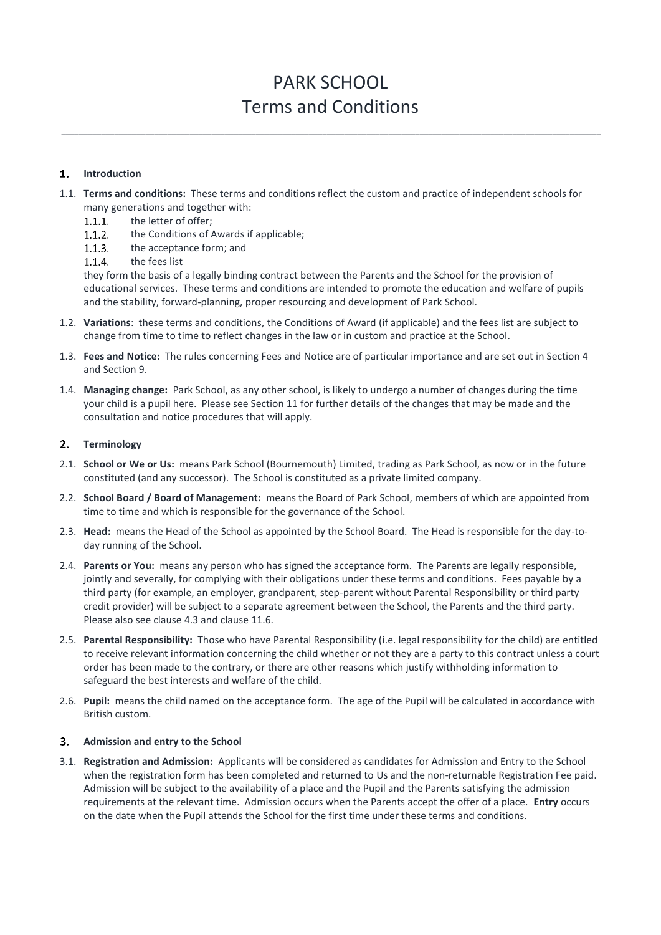# PARK SCHOOL Terms and Conditions

\_\_\_\_\_\_\_\_\_\_\_\_\_\_\_\_\_\_\_\_\_\_\_\_\_\_\_\_\_\_\_\_\_\_\_\_\_\_\_\_\_\_\_\_\_\_\_\_\_\_\_\_\_\_\_\_\_\_\_\_\_\_\_\_\_\_\_\_\_\_\_\_\_\_\_\_\_\_\_\_\_\_\_\_\_\_\_\_\_\_\_\_\_\_\_\_\_\_\_\_\_\_\_\_\_\_\_\_\_\_\_\_\_\_\_\_\_\_\_\_\_\_

#### **Introduction**  $\mathbf{1}$ .

- 1.1. **Terms and conditions:** These terms and conditions reflect the custom and practice of independent schools for many generations and together with:
	- the letter of offer;  $1.1.1.$
	- $1.1.2.$ the Conditions of Awards if applicable;
	- $1.1.3.$ the acceptance form; and
	- $1.1.4.$ the fees list

they form the basis of a legally binding contract between the Parents and the School for the provision of educational services. These terms and conditions are intended to promote the education and welfare of pupils and the stability, forward-planning, proper resourcing and development of Park School.

- 1.2. **Variations**: these terms and conditions, the Conditions of Award (if applicable) and the fees list are subject to change from time to time to reflect changes in the law or in custom and practice at the School.
- 1.3. **Fees and Notice:** The rules concerning Fees and Notice are of particular importance and are set out in Section 4 and Section 9.
- 1.4. **Managing change:** Park School, as any other school, is likely to undergo a number of changes during the time your child is a pupil here. Please see Section 11 for further details of the changes that may be made and the consultation and notice procedures that will apply.

### **Terminology**

- 2.1. **School or We or Us:** means Park School (Bournemouth) Limited, trading as Park School, as now or in the future constituted (and any successor). The School is constituted as a private limited company.
- 2.2. **School Board / Board of Management:** means the Board of Park School, members of which are appointed from time to time and which is responsible for the governance of the School.
- 2.3. **Head:** means the Head of the School as appointed by the School Board. The Head is responsible for the day-today running of the School.
- 2.4. **Parents or You:** means any person who has signed the acceptance form. The Parents are legally responsible, jointly and severally, for complying with their obligations under these terms and conditions. Fees payable by a third party (for example, an employer, grandparent, step-parent without Parental Responsibility or third party credit provider) will be subject to a separate agreement between the School, the Parents and the third party. Please also see clause [4.3](#page-1-0) and claus[e 11.6.](#page-11-0)
- 2.5. **Parental Responsibility:** Those who have Parental Responsibility (i.e. legal responsibility for the child) are entitled to receive relevant information concerning the child whether or not they are a party to this contract unless a court order has been made to the contrary, or there are other reasons which justify withholding information to safeguard the best interests and welfare of the child.
- 2.6. **Pupil:** means the child named on the acceptance form. The age of the Pupil will be calculated in accordance with British custom.

### **Admission and entry to the School**

3.1. **Registration and Admission:** Applicants will be considered as candidates for Admission and Entry to the School when the registration form has been completed and returned to Us and the non-returnable Registration Fee paid. Admission will be subject to the availability of a place and the Pupil and the Parents satisfying the admission requirements at the relevant time. Admission occurs when the Parents accept the offer of a place. **Entry** occurs on the date when the Pupil attends the School for the first time under these terms and conditions.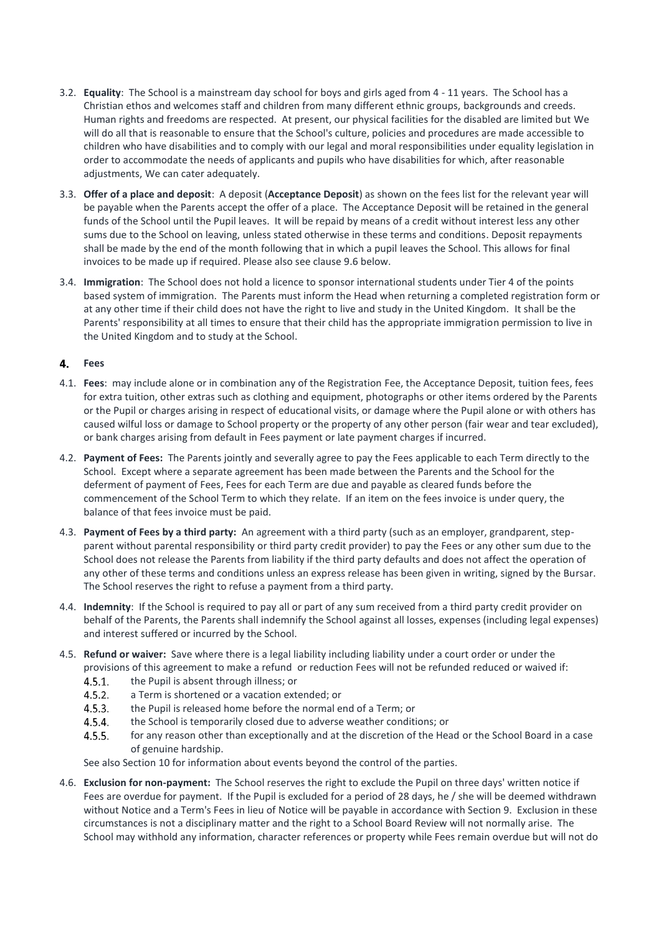- 3.2. **Equality**: The School is a mainstream day school for boys and girls aged from 4 11 years. The School has a Christian ethos and welcomes staff and children from many different ethnic groups, backgrounds and creeds. Human rights and freedoms are respected. At present, our physical facilities for the disabled are limited but We will do all that is reasonable to ensure that the School's culture, policies and procedures are made accessible to children who have disabilities and to comply with our legal and moral responsibilities under equality legislation in order to accommodate the needs of applicants and pupils who have disabilities for which, after reasonable adjustments, We can cater adequately.
- <span id="page-1-2"></span>3.3. **Offer of a place and deposit**: A deposit (**Acceptance Deposit**) as shown on the fees list for the relevant year will be payable when the Parents accept the offer of a place. The Acceptance Deposit will be retained in the general funds of the School until the Pupil leaves. It will be repaid by means of a credit without interest less any other sums due to the School on leaving, unless stated otherwise in these terms and conditions. Deposit repayments shall be made by the end of the month following that in which a pupil leaves the School. This allows for final invoices to be made up if required. Please also see clause [9.6](#page-9-0) below.
- 3.4. **Immigration**: The School does not hold a licence to sponsor international students under Tier 4 of the points based system of immigration. The Parents must inform the Head when returning a completed registration form or at any other time if their child does not have the right to live and study in the United Kingdom. It shall be the Parents' responsibility at all times to ensure that their child has the appropriate immigration permission to live in the United Kingdom and to study at the School.

#### $\mathbf{4}$ . **Fees**

- 4.1. **Fees**: may include alone or in combination any of the Registration Fee, the Acceptance Deposit, tuition fees, fees for extra tuition, other extras such as clothing and equipment, photographs or other items ordered by the Parents or the Pupil or charges arising in respect of educational visits, or damage where the Pupil alone or with others has caused wilful loss or damage to School property or the property of any other person (fair wear and tear excluded), or bank charges arising from default in Fees payment or late payment charges if incurred.
- 4.2. **Payment of Fees:** The Parents jointly and severally agree to pay the Fees applicable to each Term directly to the School. Except where a separate agreement has been made between the Parents and the School for the deferment of payment of Fees, Fees for each Term are due and payable as cleared funds before the commencement of the School Term to which they relate. If an item on the fees invoice is under query, the balance of that fees invoice must be paid.
- <span id="page-1-0"></span>4.3. **Payment of Fees by a third party:** An agreement with a third party (such as an employer, grandparent, stepparent without parental responsibility or third party credit provider) to pay the Fees or any other sum due to the School does not release the Parents from liability if the third party defaults and does not affect the operation of any other of these terms and conditions unless an express release has been given in writing, signed by the Bursar. The School reserves the right to refuse a payment from a third party.
- 4.4. **Indemnity**: If the School is required to pay all or part of any sum received from a third party credit provider on behalf of the Parents, the Parents shall indemnify the School against all losses, expenses (including legal expenses) and interest suffered or incurred by the School.
- <span id="page-1-3"></span>4.5. **Refund or waiver:** Save where there is a legal liability including liability under a court order or under the provisions of this agreement to make a refund or reduction Fees will not be refunded reduced or waived if:
	- $4.5.1.$ the Pupil is absent through illness; or
	- $4.5.2.$ a Term is shortened or a vacation extended; or
	- $4.5.3.$ the Pupil is released home before the normal end of a Term; or
	- $4.5.4.$ the School is temporarily closed due to adverse weather conditions; or
	- $4.5.5.$ for any reason other than exceptionally and at the discretion of the Head or the School Board in a case of genuine hardship.

See also Section 10 for information about events beyond the control of the parties.

<span id="page-1-1"></span>4.6. **Exclusion for non-payment:** The School reserves the right to exclude the Pupil on three days' written notice if Fees are overdue for payment. If the Pupil is excluded for a period of 28 days, he / she will be deemed withdrawn without Notice and a Term's Fees in lieu of Notice will be payable in accordance with Section 9. Exclusion in these circumstances is not a disciplinary matter and the right to a School Board Review will not normally arise. The School may withhold any information, character references or property while Fees remain overdue but will not do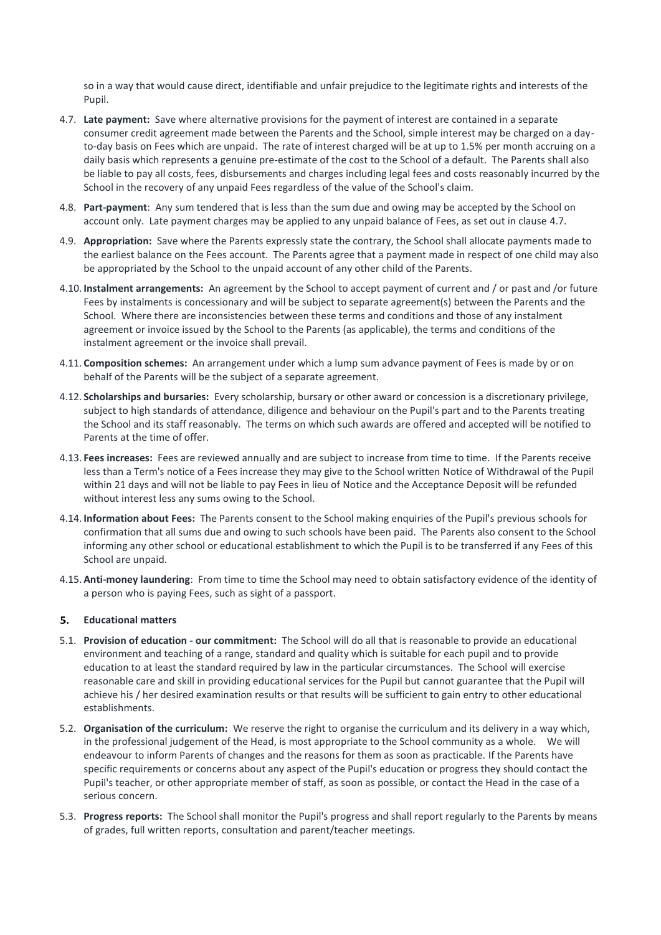so in a way that would cause direct, identifiable and unfair prejudice to the legitimate rights and interests of the Pupil.

- <span id="page-2-0"></span>4.7. **Late payment:** Save where alternative provisions for the payment of interest are contained in a separate consumer credit agreement made between the Parents and the School, simple interest may be charged on a dayto-day basis on Fees which are unpaid. The rate of interest charged will be at up to 1.5% per month accruing on a daily basis which represents a genuine pre-estimate of the cost to the School of a default. The Parents shall also be liable to pay all costs, fees, disbursements and charges including legal fees and costs reasonably incurred by the School in the recovery of any unpaid Fees regardless of the value of the School's claim.
- 4.8. **Part-payment**: Any sum tendered that is less than the sum due and owing may be accepted by the School on account only. Late payment charges may be applied to any unpaid balance of Fees, as set out in clause [4.7.](#page-2-0)
- 4.9. **Appropriation:** Save where the Parents expressly state the contrary, the School shall allocate payments made to the earliest balance on the Fees account. The Parents agree that a payment made in respect of one child may also be appropriated by the School to the unpaid account of any other child of the Parents.
- 4.10. **Instalment arrangements:** An agreement by the School to accept payment of current and / or past and /or future Fees by instalments is concessionary and will be subject to separate agreement(s) between the Parents and the School. Where there are inconsistencies between these terms and conditions and those of any instalment agreement or invoice issued by the School to the Parents (as applicable), the terms and conditions of the instalment agreement or the invoice shall prevail.
- 4.11. **Composition schemes:** An arrangement under which a lump sum advance payment of Fees is made by or on behalf of the Parents will be the subject of a separate agreement.
- 4.12. **Scholarships and bursaries:** Every scholarship, bursary or other award or concession is a discretionary privilege, subject to high standards of attendance, diligence and behaviour on the Pupil's part and to the Parents treating the School and its staff reasonably. The terms on which such awards are offered and accepted will be notified to Parents at the time of offer.
- 4.13. **Fees increases:** Fees are reviewed annually and are subject to increase from time to time. If the Parents receive less than a Term's notice of a Fees increase they may give to the School written Notice of Withdrawal of the Pupil within 21 days and will not be liable to pay Fees in lieu of Notice and the Acceptance Deposit will be refunded without interest less any sums owing to the School.
- 4.14. **Information about Fees:** The Parents consent to the School making enquiries of the Pupil's previous schools for confirmation that all sums due and owing to such schools have been paid. The Parents also consent to the School informing any other school or educational establishment to which the Pupil is to be transferred if any Fees of this School are unpaid.
- 4.15. **Anti-money laundering**: From time to time the School may need to obtain satisfactory evidence of the identity of a person who is paying Fees, such as sight of a passport.

#### $5.$ **Educational matters**

- 5.1. **Provision of education - our commitment:** The School will do all that is reasonable to provide an educational environment and teaching of a range, standard and quality which is suitable for each pupil and to provide education to at least the standard required by law in the particular circumstances. The School will exercise reasonable care and skill in providing educational services for the Pupil but cannot guarantee that the Pupil will achieve his / her desired examination results or that results will be sufficient to gain entry to other educational establishments.
- 5.2. **Organisation of the curriculum:** We reserve the right to organise the curriculum and its delivery in a way which, in the professional judgement of the Head, is most appropriate to the School community as a whole. We will endeavour to inform Parents of changes and the reasons for them as soon as practicable. If the Parents have specific requirements or concerns about any aspect of the Pupil's education or progress they should contact the Pupil's teacher, or other appropriate member of staff, as soon as possible, or contact the Head in the case of a serious concern.
- 5.3. **Progress reports:** The School shall monitor the Pupil's progress and shall report regularly to the Parents by means of grades, full written reports, consultation and parent/teacher meetings.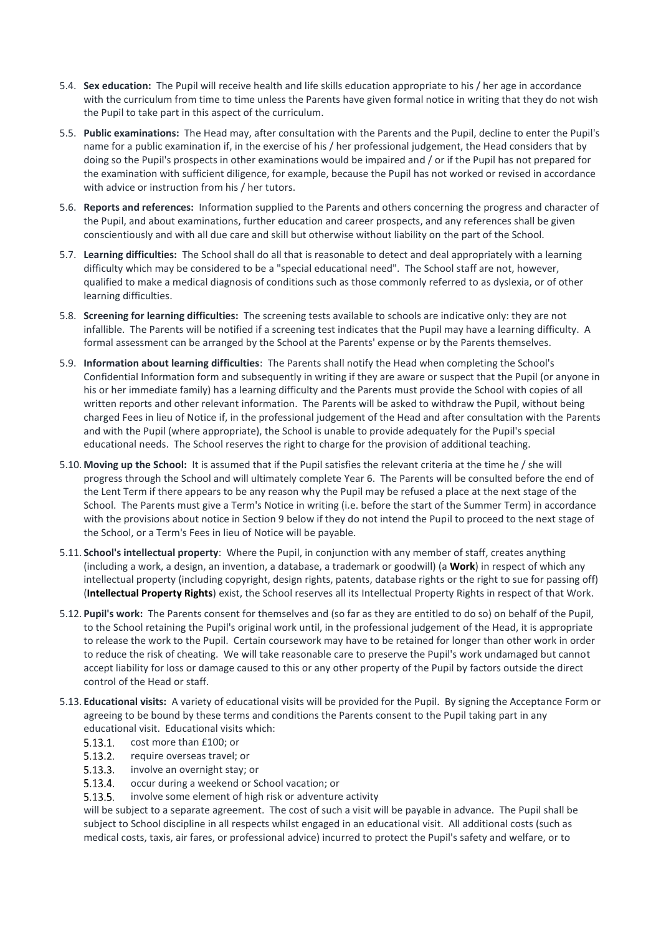- 5.4. **Sex education:** The Pupil will receive health and life skills education appropriate to his / her age in accordance with the curriculum from time to time unless the Parents have given formal notice in writing that they do not wish the Pupil to take part in this aspect of the curriculum.
- 5.5. **Public examinations:** The Head may, after consultation with the Parents and the Pupil, decline to enter the Pupil's name for a public examination if, in the exercise of his / her professional judgement, the Head considers that by doing so the Pupil's prospects in other examinations would be impaired and / or if the Pupil has not prepared for the examination with sufficient diligence, for example, because the Pupil has not worked or revised in accordance with advice or instruction from his / her tutors.
- 5.6. **Reports and references:** Information supplied to the Parents and others concerning the progress and character of the Pupil, and about examinations, further education and career prospects, and any references shall be given conscientiously and with all due care and skill but otherwise without liability on the part of the School.
- 5.7. **Learning difficulties:** The School shall do all that is reasonable to detect and deal appropriately with a learning difficulty which may be considered to be a "special educational need". The School staff are not, however, qualified to make a medical diagnosis of conditions such as those commonly referred to as dyslexia, or of other learning difficulties.
- 5.8. **Screening for learning difficulties:** The screening tests available to schools are indicative only: they are not infallible. The Parents will be notified if a screening test indicates that the Pupil may have a learning difficulty. A formal assessment can be arranged by the School at the Parents' expense or by the Parents themselves.
- 5.9. **Information about learning difficulties**: The Parents shall notify the Head when completing the School's Confidential Information form and subsequently in writing if they are aware or suspect that the Pupil (or anyone in his or her immediate family) has a learning difficulty and the Parents must provide the School with copies of all written reports and other relevant information. The Parents will be asked to withdraw the Pupil, without being charged Fees in lieu of Notice if, in the professional judgement of the Head and after consultation with the Parents and with the Pupil (where appropriate), the School is unable to provide adequately for the Pupil's special educational needs. The School reserves the right to charge for the provision of additional teaching.
- 5.10. **Moving up the School:** It is assumed that if the Pupil satisfies the relevant criteria at the time he / she will progress through the School and will ultimately complete Year 6. The Parents will be consulted before the end of the Lent Term if there appears to be any reason why the Pupil may be refused a place at the next stage of the School. The Parents must give a Term's Notice in writing (i.e. before the start of the Summer Term) in accordance with the provisions about notice in Section 9 below if they do not intend the Pupil to proceed to the next stage of the School, or a Term's Fees in lieu of Notice will be payable.
- 5.11. **School's intellectual property**: Where the Pupil, in conjunction with any member of staff, creates anything (including a work, a design, an invention, a database, a trademark or goodwill) (a **Work**) in respect of which any intellectual property (including copyright, design rights, patents, database rights or the right to sue for passing off) (**Intellectual Property Rights**) exist, the School reserves all its Intellectual Property Rights in respect of that Work.
- 5.12. **Pupil's work:** The Parents consent for themselves and (so far as they are entitled to do so) on behalf of the Pupil, to the School retaining the Pupil's original work until, in the professional judgement of the Head, it is appropriate to release the work to the Pupil. Certain coursework may have to be retained for longer than other work in order to reduce the risk of cheating. We will take reasonable care to preserve the Pupil's work undamaged but cannot accept liability for loss or damage caused to this or any other property of the Pupil by factors outside the direct control of the Head or staff.
- 5.13. **Educational visits:** A variety of educational visits will be provided for the Pupil. By signing the Acceptance Form or agreeing to be bound by these terms and conditions the Parents consent to the Pupil taking part in any educational visit. Educational visits which:
	- $5.13.1.$ cost more than £100; or
	- require overseas travel; or  $5.13.2.$
	- 5.13.3. involve an overnight stay; or
	- 5.13.4. occur during a weekend or School vacation; or
	- $5.13.5.$ involve some element of high risk or adventure activity

will be subject to a separate agreement. The cost of such a visit will be payable in advance. The Pupil shall be subject to School discipline in all respects whilst engaged in an educational visit. All additional costs (such as medical costs, taxis, air fares, or professional advice) incurred to protect the Pupil's safety and welfare, or to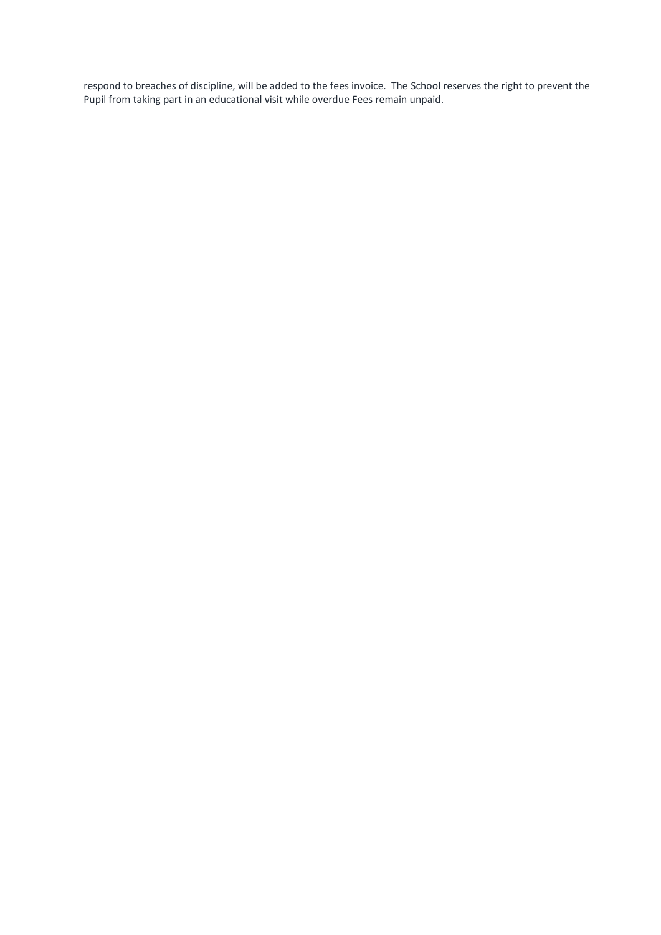respond to breaches of discipline, will be added to the fees invoice. The School reserves the right to prevent the Pupil from taking part in an educational visit while overdue Fees remain unpaid.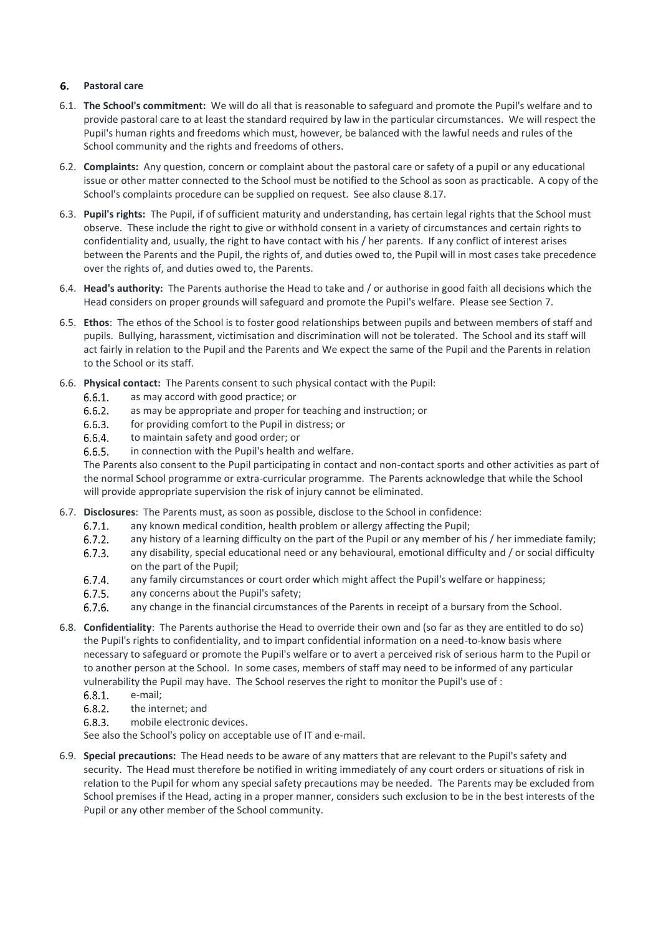### **Pastoral care**

- 6.1. **The School's commitment:** We will do all that is reasonable to safeguard and promote the Pupil's welfare and to provide pastoral care to at least the standard required by law in the particular circumstances. We will respect the Pupil's human rights and freedoms which must, however, be balanced with the lawful needs and rules of the School community and the rights and freedoms of others.
- 6.2. **Complaints:** Any question, concern or complaint about the pastoral care or safety of a pupil or any educational issue or other matter connected to the School must be notified to the School as soon as practicable. A copy of the School's complaints procedure can be supplied on request. See also clause [8.17.](#page-8-0)
- 6.3. **Pupil's rights:** The Pupil, if of sufficient maturity and understanding, has certain legal rights that the School must observe. These include the right to give or withhold consent in a variety of circumstances and certain rights to confidentiality and, usually, the right to have contact with his / her parents. If any conflict of interest arises between the Parents and the Pupil, the rights of, and duties owed to, the Pupil will in most cases take precedence over the rights of, and duties owed to, the Parents.
- 6.4. **Head's authority:** The Parents authorise the Head to take and / or authorise in good faith all decisions which the Head considers on proper grounds will safeguard and promote the Pupil's welfare. Please see Section 7.
- 6.5. **Ethos**: The ethos of the School is to foster good relationships between pupils and between members of staff and pupils. Bullying, harassment, victimisation and discrimination will not be tolerated. The School and its staff will act fairly in relation to the Pupil and the Parents and We expect the same of the Pupil and the Parents in relation to the School or its staff.
- 6.6. **Physical contact:** The Parents consent to such physical contact with the Pupil:
	- $6.6.1.$ as may accord with good practice; or
	- $6.6.2.$ as may be appropriate and proper for teaching and instruction; or
	- $6.6.3.$ for providing comfort to the Pupil in distress; or
	- $6.6.4.$ to maintain safety and good order; or
	- $6.6.5.$ in connection with the Pupil's health and welfare.

The Parents also consent to the Pupil participating in contact and non-contact sports and other activities as part of the normal School programme or extra-curricular programme. The Parents acknowledge that while the School will provide appropriate supervision the risk of injury cannot be eliminated.

- 6.7. **Disclosures**: The Parents must, as soon as possible, disclose to the School in confidence:
	- $6.7.1.$ any known medical condition, health problem or allergy affecting the Pupil;
	- $6.7.2.$ any history of a learning difficulty on the part of the Pupil or any member of his / her immediate family;  $6.7.3.$ any disability, special educational need or any behavioural, emotional difficulty and / or social difficulty
	- on the part of the Pupil;
	- $6.7.4.$ any family circumstances or court order which might affect the Pupil's welfare or happiness;
	- $6.7.5.$ any concerns about the Pupil's safety;
	- $6.7.6.$ any change in the financial circumstances of the Parents in receipt of a bursary from the School.
- 6.8. **Confidentiality**: The Parents authorise the Head to override their own and (so far as they are entitled to do so) the Pupil's rights to confidentiality, and to impart confidential information on a need-to-know basis where necessary to safeguard or promote the Pupil's welfare or to avert a perceived risk of serious harm to the Pupil or to another person at the School. In some cases, members of staff may need to be informed of any particular vulnerability the Pupil may have. The School reserves the right to monitor the Pupil's use of :
	- $6.8.1.$ e-mail;
	- $6.8.2.$ the internet; and
	- $6.8.3.$ mobile electronic devices.

See also the School's policy on acceptable use of IT and e-mail.

6.9. **Special precautions:** The Head needs to be aware of any matters that are relevant to the Pupil's safety and security. The Head must therefore be notified in writing immediately of any court orders or situations of risk in relation to the Pupil for whom any special safety precautions may be needed. The Parents may be excluded from School premises if the Head, acting in a proper manner, considers such exclusion to be in the best interests of the Pupil or any other member of the School community.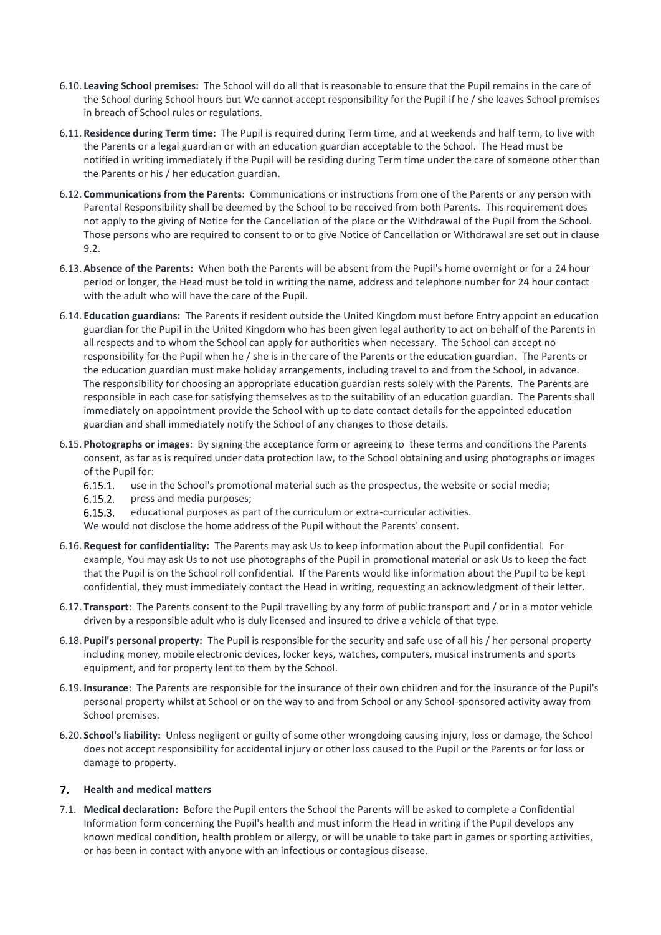- 6.10. **Leaving School premises:** The School will do all that is reasonable to ensure that the Pupil remains in the care of the School during School hours but We cannot accept responsibility for the Pupil if he / she leaves School premises in breach of School rules or regulations.
- 6.11. **Residence during Term time:** The Pupil is required during Term time, and at weekends and half term, to live with the Parents or a legal guardian or with an education guardian acceptable to the School. The Head must be notified in writing immediately if the Pupil will be residing during Term time under the care of someone other than the Parents or his / her education guardian.
- 6.12. **Communications from the Parents:** Communications or instructions from one of the Parents or any person with Parental Responsibility shall be deemed by the School to be received from both Parents. This requirement does not apply to the giving of Notice for the Cancellation of the place or the Withdrawal of the Pupil from the School. Those persons who are required to consent to or to give Notice of Cancellation or Withdrawal are set out in clause 9.2.
- 6.13. **Absence of the Parents:** When both the Parents will be absent from the Pupil's home overnight or for a 24 hour period or longer, the Head must be told in writing the name, address and telephone number for 24 hour contact with the adult who will have the care of the Pupil.
- 6.14. **Education guardians:** The Parents if resident outside the United Kingdom must before Entry appoint an education guardian for the Pupil in the United Kingdom who has been given legal authority to act on behalf of the Parents in all respects and to whom the School can apply for authorities when necessary. The School can accept no responsibility for the Pupil when he / she is in the care of the Parents or the education guardian. The Parents or the education guardian must make holiday arrangements, including travel to and from the School, in advance. The responsibility for choosing an appropriate education guardian rests solely with the Parents. The Parents are responsible in each case for satisfying themselves as to the suitability of an education guardian. The Parents shall immediately on appointment provide the School with up to date contact details for the appointed education guardian and shall immediately notify the School of any changes to those details.
- 6.15. **Photographs or images**: By signing the acceptance form or agreeing to these terms and conditions the Parents consent, as far as is required under data protection law, to the School obtaining and using photographs or images of the Pupil for:
	- $6.15.1.$ use in the School's promotional material such as the prospectus, the website or social media;
	- $6.15.2.$ press and media purposes;
	- $6.15.3.$ educational purposes as part of the curriculum or extra-curricular activities.

We would not disclose the home address of the Pupil without the Parents' consent.

- 6.16. **Request for confidentiality:** The Parents may ask Us to keep information about the Pupil confidential. For example, You may ask Us to not use photographs of the Pupil in promotional material or ask Us to keep the fact that the Pupil is on the School roll confidential. If the Parents would like information about the Pupil to be kept confidential, they must immediately contact the Head in writing, requesting an acknowledgment of their letter.
- 6.17. **Transport**: The Parents consent to the Pupil travelling by any form of public transport and / or in a motor vehicle driven by a responsible adult who is duly licensed and insured to drive a vehicle of that type.
- 6.18. **Pupil's personal property:** The Pupil is responsible for the security and safe use of all his / her personal property including money, mobile electronic devices, locker keys, watches, computers, musical instruments and sports equipment, and for property lent to them by the School.
- 6.19. **Insurance**: The Parents are responsible for the insurance of their own children and for the insurance of the Pupil's personal property whilst at School or on the way to and from School or any School-sponsored activity away from School premises.
- 6.20. **School's liability:** Unless negligent or guilty of some other wrongdoing causing injury, loss or damage, the School does not accept responsibility for accidental injury or other loss caused to the Pupil or the Parents or for loss or damage to property.

### **Health and medical matters**

7.1. **Medical declaration:** Before the Pupil enters the School the Parents will be asked to complete a Confidential Information form concerning the Pupil's health and must inform the Head in writing if the Pupil develops any known medical condition, health problem or allergy, or will be unable to take part in games or sporting activities, or has been in contact with anyone with an infectious or contagious disease.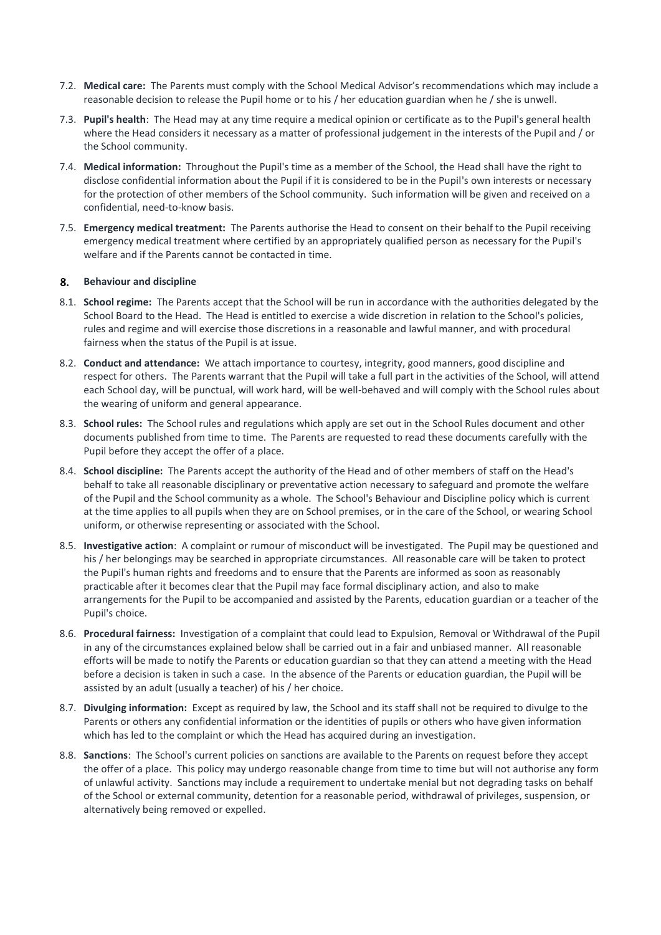- 7.2. **Medical care:** The Parents must comply with the School Medical Advisor's recommendations which may include a reasonable decision to release the Pupil home or to his / her education guardian when he / she is unwell.
- 7.3. **Pupil's health**: The Head may at any time require a medical opinion or certificate as to the Pupil's general health where the Head considers it necessary as a matter of professional judgement in the interests of the Pupil and / or the School community.
- 7.4. **Medical information:** Throughout the Pupil's time as a member of the School, the Head shall have the right to disclose confidential information about the Pupil if it is considered to be in the Pupil's own interests or necessary for the protection of other members of the School community. Such information will be given and received on a confidential, need-to-know basis.
- 7.5. **Emergency medical treatment:** The Parents authorise the Head to consent on their behalf to the Pupil receiving emergency medical treatment where certified by an appropriately qualified person as necessary for the Pupil's welfare and if the Parents cannot be contacted in time.

### **Behaviour and discipline**

- 8.1. **School regime:** The Parents accept that the School will be run in accordance with the authorities delegated by the School Board to the Head. The Head is entitled to exercise a wide discretion in relation to the School's policies, rules and regime and will exercise those discretions in a reasonable and lawful manner, and with procedural fairness when the status of the Pupil is at issue.
- 8.2. **Conduct and attendance:** We attach importance to courtesy, integrity, good manners, good discipline and respect for others. The Parents warrant that the Pupil will take a full part in the activities of the School, will attend each School day, will be punctual, will work hard, will be well-behaved and will comply with the School rules about the wearing of uniform and general appearance.
- 8.3. **School rules:** The School rules and regulations which apply are set out in the School Rules document and other documents published from time to time. The Parents are requested to read these documents carefully with the Pupil before they accept the offer of a place.
- 8.4. **School discipline:** The Parents accept the authority of the Head and of other members of staff on the Head's behalf to take all reasonable disciplinary or preventative action necessary to safeguard and promote the welfare of the Pupil and the School community as a whole. The School's Behaviour and Discipline policy which is current at the time applies to all pupils when they are on School premises, or in the care of the School, or wearing School uniform, or otherwise representing or associated with the School.
- 8.5. **Investigative action**: A complaint or rumour of misconduct will be investigated. The Pupil may be questioned and his / her belongings may be searched in appropriate circumstances. All reasonable care will be taken to protect the Pupil's human rights and freedoms and to ensure that the Parents are informed as soon as reasonably practicable after it becomes clear that the Pupil may face formal disciplinary action, and also to make arrangements for the Pupil to be accompanied and assisted by the Parents, education guardian or a teacher of the Pupil's choice.
- 8.6. **Procedural fairness:** Investigation of a complaint that could lead to Expulsion, Removal or Withdrawal of the Pupil in any of the circumstances explained below shall be carried out in a fair and unbiased manner. All reasonable efforts will be made to notify the Parents or education guardian so that they can attend a meeting with the Head before a decision is taken in such a case. In the absence of the Parents or education guardian, the Pupil will be assisted by an adult (usually a teacher) of his / her choice.
- 8.7. **Divulging information:** Except as required by law, the School and its staff shall not be required to divulge to the Parents or others any confidential information or the identities of pupils or others who have given information which has led to the complaint or which the Head has acquired during an investigation.
- 8.8. **Sanctions**: The School's current policies on sanctions are available to the Parents on request before they accept the offer of a place. This policy may undergo reasonable change from time to time but will not authorise any form of unlawful activity. Sanctions may include a requirement to undertake menial but not degrading tasks on behalf of the School or external community, detention for a reasonable period, withdrawal of privileges, suspension, or alternatively being removed or expelled.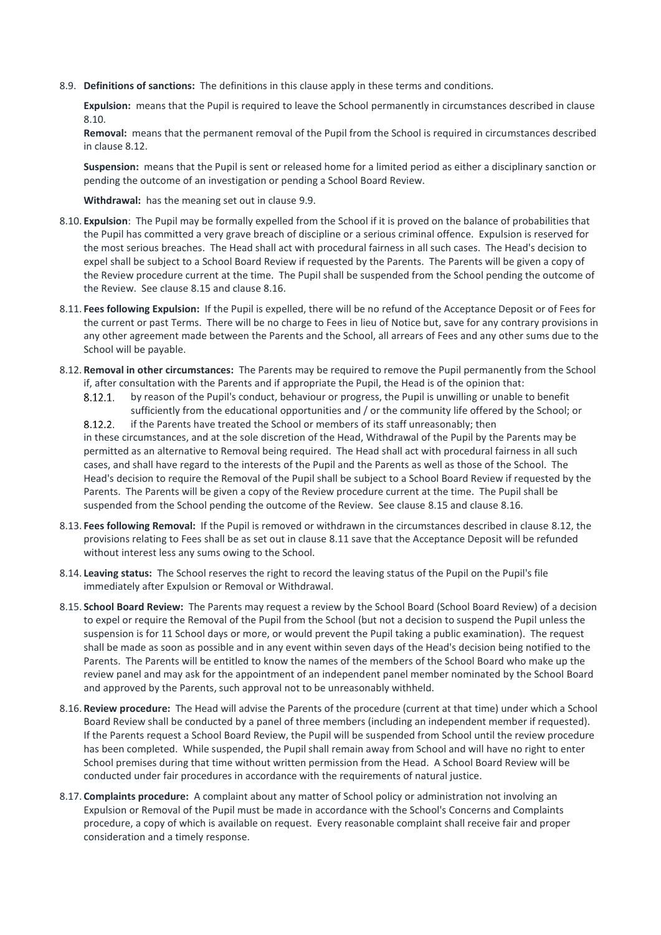8.9. **Definitions of sanctions:** The definitions in this clause apply in these terms and conditions.

**Expulsion:** means that the Pupil is required to leave the School permanently in circumstances described in clause [8.10.](#page-8-1)

**Removal:** means that the permanent removal of the Pupil from the School is required in circumstances described in clause [8.12.](#page-8-2)

**Suspension:** means that the Pupil is sent or released home for a limited period as either a disciplinary sanction or pending the outcome of an investigation or pending a School Board Review.

**Withdrawal:** has the meaning set out in claus[e 9.9.](#page-10-0)

- <span id="page-8-1"></span>8.10. **Expulsion**: The Pupil may be formally expelled from the School if it is proved on the balance of probabilities that the Pupil has committed a very grave breach of discipline or a serious criminal offence. Expulsion is reserved for the most serious breaches. The Head shall act with procedural fairness in all such cases. The Head's decision to expel shall be subject to a School Board Review if requested by the Parents. The Parents will be given a copy of the Review procedure current at the time. The Pupil shall be suspended from the School pending the outcome of the Review. See clause [8.15](#page-8-3) and claus[e 8.16.](#page-8-4)
- <span id="page-8-5"></span>8.11. **Fees following Expulsion:** If the Pupil is expelled, there will be no refund of the Acceptance Deposit or of Fees for the current or past Terms. There will be no charge to Fees in lieu of Notice but, save for any contrary provisions in any other agreement made between the Parents and the School, all arrears of Fees and any other sums due to the School will be payable.
- <span id="page-8-2"></span>8.12. **Removal in other circumstances:** The Parents may be required to remove the Pupil permanently from the School if, after consultation with the Parents and if appropriate the Pupil, the Head is of the opinion that:
	- by reason of the Pupil's conduct, behaviour or progress, the Pupil is unwilling or unable to benefit  $8.12.1.$ sufficiently from the educational opportunities and / or the community life offered by the School; or
	- 8.12.2. if the Parents have treated the School or members of its staff unreasonably; then in these circumstances, and at the sole discretion of the Head, Withdrawal of the Pupil by the Parents may be permitted as an alternative to Removal being required. The Head shall act with procedural fairness in all such cases, and shall have regard to the interests of the Pupil and the Parents as well as those of the School. The Head's decision to require the Removal of the Pupil shall be subject to a School Board Review if requested by the Parents. The Parents will be given a copy of the Review procedure current at the time. The Pupil shall be suspended from the School pending the outcome of the Review. See claus[e 8.15](#page-8-3) and clause [8.16.](#page-8-4)
- <span id="page-8-6"></span>8.13. **Fees following Removal:** If the Pupil is removed or withdrawn in the circumstances described in clause [8.12,](#page-8-2) the provisions relating to Fees shall be as set out in claus[e 8.11](#page-8-5) save that the Acceptance Deposit will be refunded without interest less any sums owing to the School.
- 8.14. **Leaving status:** The School reserves the right to record the leaving status of the Pupil on the Pupil's file immediately after Expulsion or Removal or Withdrawal.
- <span id="page-8-3"></span>8.15. **School Board Review:** The Parents may request a review by the School Board (School Board Review) of a decision to expel or require the Removal of the Pupil from the School (but not a decision to suspend the Pupil unless the suspension is for 11 School days or more, or would prevent the Pupil taking a public examination). The request shall be made as soon as possible and in any event within seven days of the Head's decision being notified to the Parents. The Parents will be entitled to know the names of the members of the School Board who make up the review panel and may ask for the appointment of an independent panel member nominated by the School Board and approved by the Parents, such approval not to be unreasonably withheld.
- <span id="page-8-4"></span>8.16. **Review procedure:** The Head will advise the Parents of the procedure (current at that time) under which a School Board Review shall be conducted by a panel of three members (including an independent member if requested). If the Parents request a School Board Review, the Pupil will be suspended from School until the review procedure has been completed. While suspended, the Pupil shall remain away from School and will have no right to enter School premises during that time without written permission from the Head. A School Board Review will be conducted under fair procedures in accordance with the requirements of natural justice.
- <span id="page-8-0"></span>8.17. **Complaints procedure:** A complaint about any matter of School policy or administration not involving an Expulsion or Removal of the Pupil must be made in accordance with the School's Concerns and Complaints procedure, a copy of which is available on request. Every reasonable complaint shall receive fair and proper consideration and a timely response.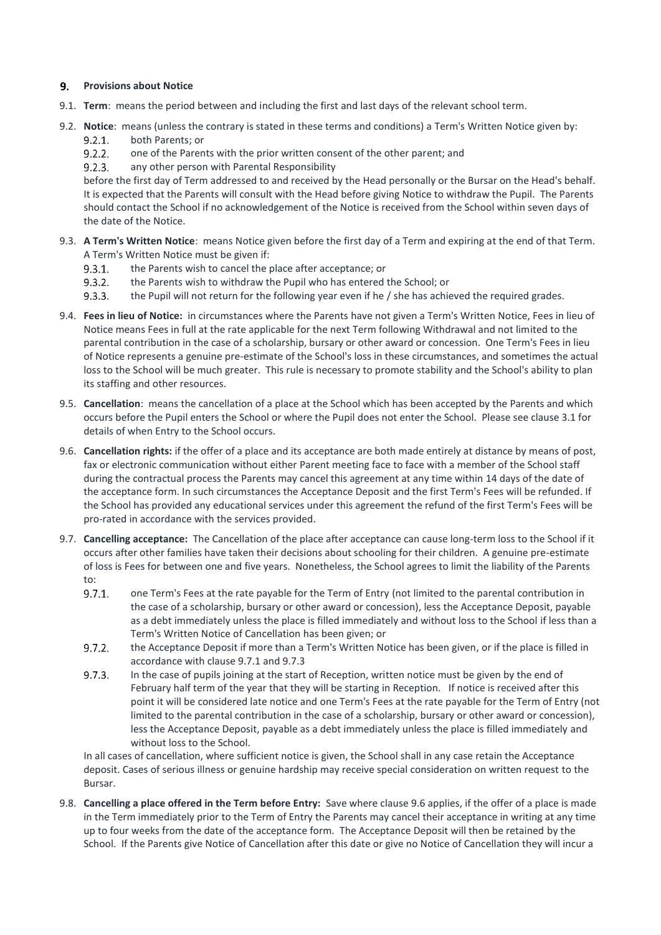#### $9<sub>1</sub>$ **Provisions about Notice**

- 9.1. **Term**: means the period between and including the first and last days of the relevant school term.
- 9.2. **Notice**: means (unless the contrary is stated in these terms and conditions) a Term's Written Notice given by:
	- $9.2.1.$ both Parents; or
	- $9.2.2.$ one of the Parents with the prior written consent of the other parent; and
	- $9.2.3.$ any other person with Parental Responsibility

before the first day of Term addressed to and received by the Head personally or the Bursar on the Head's behalf. It is expected that the Parents will consult with the Head before giving Notice to withdraw the Pupil. The Parents should contact the School if no acknowledgement of the Notice is received from the School within seven days of the date of the Notice.

- 9.3. **A Term's Written Notice**: means Notice given before the first day of a Term and expiring at the end of that Term. A Term's Written Notice must be given if:
	- $9.3.1.$ the Parents wish to cancel the place after acceptance; or
	- the Parents wish to withdraw the Pupil who has entered the School; or  $9.3.2.$
	- $9.3.3.$ the Pupil will not return for the following year even if he / she has achieved the required grades.
- <span id="page-9-1"></span>9.4. **Fees in lieu of Notice:** in circumstances where the Parents have not given a Term's Written Notice, Fees in lieu of Notice means Fees in full at the rate applicable for the next Term following Withdrawal and not limited to the parental contribution in the case of a scholarship, bursary or other award or concession. One Term's Fees in lieu of Notice represents a genuine pre-estimate of the School's loss in these circumstances, and sometimes the actual loss to the School will be much greater. This rule is necessary to promote stability and the School's ability to plan its staffing and other resources.
- 9.5. **Cancellation**: means the cancellation of a place at the School which has been accepted by the Parents and which occurs before the Pupil enters the School or where the Pupil does not enter the School. Please see clause 3.1 for details of when Entry to the School occurs.
- <span id="page-9-0"></span>9.6. **Cancellation rights:** if the offer of a place and its acceptance are both made entirely at distance by means of post, fax or electronic communication without either Parent meeting face to face with a member of the School staff during the contractual process the Parents may cancel this agreement at any time within 14 days of the date of the acceptance form. In such circumstances the Acceptance Deposit and the first Term's Fees will be refunded. If the School has provided any educational services under this agreement the refund of the first Term's Fees will be pro-rated in accordance with the services provided.
- <span id="page-9-2"></span>9.7. **Cancelling acceptance:** The Cancellation of the place after acceptance can cause long-term loss to the School if it occurs after other families have taken their decisions about schooling for their children. A genuine pre-estimate of loss is Fees for between one and five years. Nonetheless, the School agrees to limit the liability of the Parents to:
	- $9.7.1.$ one Term's Fees at the rate payable for the Term of Entry (not limited to the parental contribution in the case of a scholarship, bursary or other award or concession), less the Acceptance Deposit, payable as a debt immediately unless the place is filled immediately and without loss to the School if less than a Term's Written Notice of Cancellation has been given; or
	- $9.7.2.$ the Acceptance Deposit if more than a Term's Written Notice has been given, or if the place is filled in accordance with clause 9.7.1 and 9.7.3
	- $9.7.3.$ In the case of pupils joining at the start of Reception, written notice must be given by the end of February half term of the year that they will be starting in Reception. If notice is received after this point it will be considered late notice and one Term's Fees at the rate payable for the Term of Entry (not limited to the parental contribution in the case of a scholarship, bursary or other award or concession), less the Acceptance Deposit, payable as a debt immediately unless the place is filled immediately and without loss to the School.

In all cases of cancellation, where sufficient notice is given, the School shall in any case retain the Acceptance deposit. Cases of serious illness or genuine hardship may receive special consideration on written request to the Bursar.

9.8. **Cancelling a place offered in the Term before Entry:** Save where clause [9.6](#page-9-0) applies, if the offer of a place is made in the Term immediately prior to the Term of Entry the Parents may cancel their acceptance in writing at any time up to four weeks from the date of the acceptance form. The Acceptance Deposit will then be retained by the School. If the Parents give Notice of Cancellation after this date or give no Notice of Cancellation they will incur a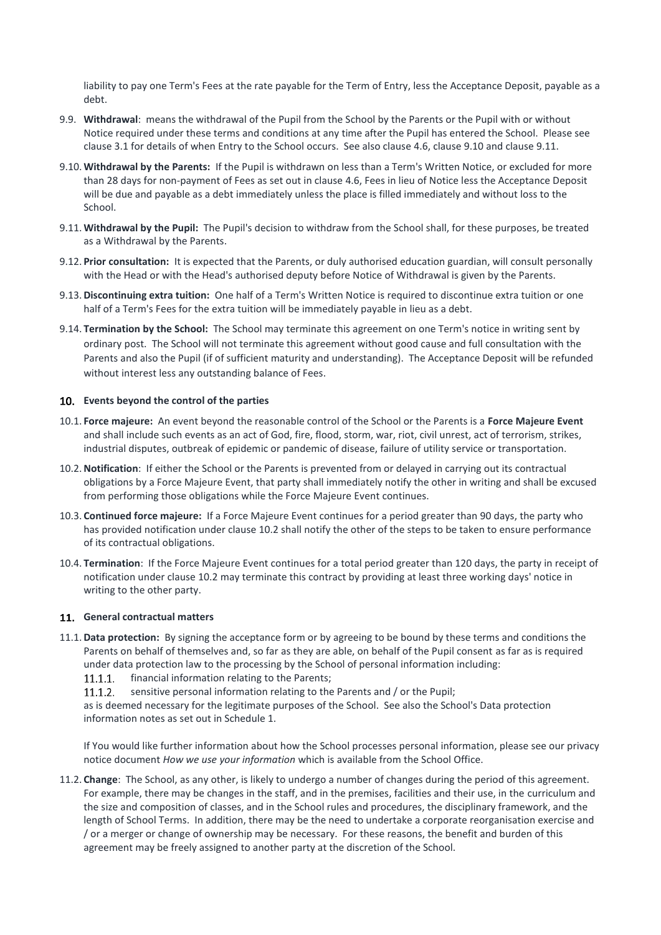liability to pay one Term's Fees at the rate payable for the Term of Entry, less the Acceptance Deposit, payable as a debt.

- <span id="page-10-0"></span>9.9. **Withdrawal**: means the withdrawal of the Pupil from the School by the Parents or the Pupil with or without Notice required under these terms and conditions at any time after the Pupil has entered the School. Please see clause 3.1 for details of when Entry to the School occurs. See also clause [4.6,](#page-1-1) clause [9.10](#page-10-1) and claus[e 9.11.](#page-10-2)
- <span id="page-10-1"></span>9.10. **Withdrawal by the Parents:** If the Pupil is withdrawn on less than a Term's Written Notice, or excluded for more than 28 days for non-payment of Fees as set out in clause [4.6,](#page-1-1) Fees in lieu of Notice less the Acceptance Deposit will be due and payable as a debt immediately unless the place is filled immediately and without loss to the School.
- <span id="page-10-2"></span>9.11. **Withdrawal by the Pupil:** The Pupil's decision to withdraw from the School shall, for these purposes, be treated as a Withdrawal by the Parents.
- 9.12. **Prior consultation:** It is expected that the Parents, or duly authorised education guardian, will consult personally with the Head or with the Head's authorised deputy before Notice of Withdrawal is given by the Parents.
- 9.13. **Discontinuing extra tuition:** One half of a Term's Written Notice is required to discontinue extra tuition or one half of a Term's Fees for the extra tuition will be immediately payable in lieu as a debt.
- 9.14. **Termination by the School:** The School may terminate this agreement on one Term's notice in writing sent by ordinary post. The School will not terminate this agreement without good cause and full consultation with the Parents and also the Pupil (if of sufficient maturity and understanding). The Acceptance Deposit will be refunded without interest less any outstanding balance of Fees.

### **Events beyond the control of the parties**

- 10.1. **Force majeure:** An event beyond the reasonable control of the School or the Parents is a **Force Majeure Event** and shall include such events as an act of God, fire, flood, storm, war, riot, civil unrest, act of terrorism, strikes, industrial disputes, outbreak of epidemic or pandemic of disease, failure of utility service or transportation.
- <span id="page-10-3"></span>10.2.**Notification**: If either the School or the Parents is prevented from or delayed in carrying out its contractual obligations by a Force Majeure Event, that party shall immediately notify the other in writing and shall be excused from performing those obligations while the Force Majeure Event continues.
- 10.3. **Continued force majeure:** If a Force Majeure Event continues for a period greater than 90 days, the party who has provided notification under clause [10.2](#page-10-3) shall notify the other of the steps to be taken to ensure performance of its contractual obligations.
- 10.4. **Termination**: If the Force Majeure Event continues for a total period greater than 120 days, the party in receipt of notification under claus[e 10.2](#page-10-3) may terminate this contract by providing at least three working days' notice in writing to the other party.

### **General contractual matters**

11.1. **Data protection:** By signing the acceptance form or by agreeing to be bound by these terms and conditions the Parents on behalf of themselves and, so far as they are able, on behalf of the Pupil consent as far as is required under data protection law to the processing by the School of personal information including:

 $11.1.1.$ financial information relating to the Parents;

sensitive personal information relating to the Parents and / or the Pupil;  $11.1.2.$ 

as is deemed necessary for the legitimate purposes of the School. See also the School's Data protection information notes as set out in Schedule 1.

If You would like further information about how the School processes personal information, please see our privacy notice document *How we use your information* which is available from the School Office.

11.2. **Change**: The School, as any other, is likely to undergo a number of changes during the period of this agreement. For example, there may be changes in the staff, and in the premises, facilities and their use, in the curriculum and the size and composition of classes, and in the School rules and procedures, the disciplinary framework, and the length of School Terms. In addition, there may be the need to undertake a corporate reorganisation exercise and / or a merger or change of ownership may be necessary. For these reasons, the benefit and burden of this agreement may be freely assigned to another party at the discretion of the School.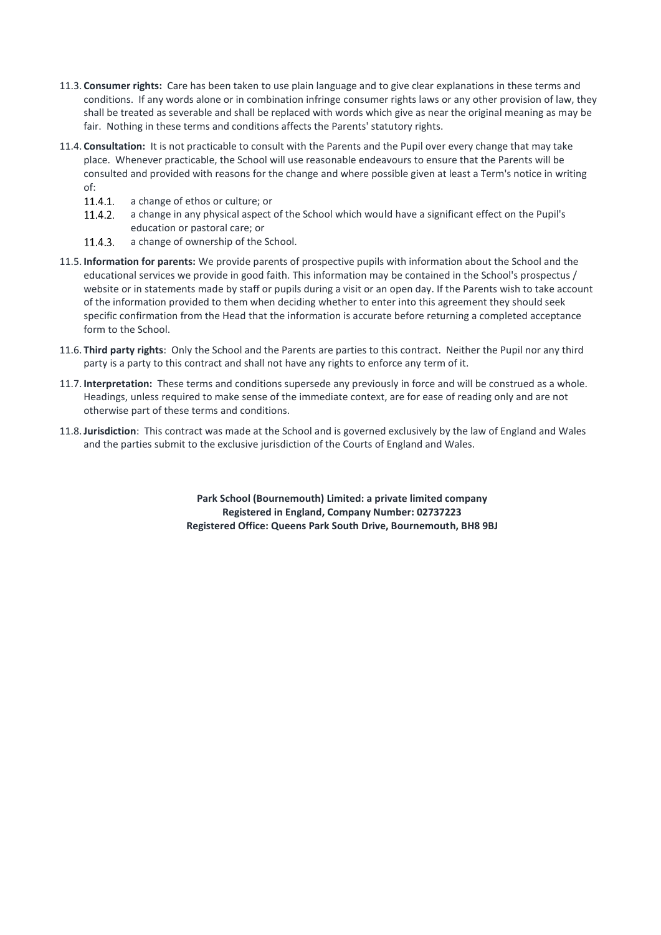- 11.3. **Consumer rights:** Care has been taken to use plain language and to give clear explanations in these terms and conditions. If any words alone or in combination infringe consumer rights laws or any other provision of law, they shall be treated as severable and shall be replaced with words which give as near the original meaning as may be fair. Nothing in these terms and conditions affects the Parents' statutory rights.
- 11.4. **Consultation:** It is not practicable to consult with the Parents and the Pupil over every change that may take place. Whenever practicable, the School will use reasonable endeavours to ensure that the Parents will be consulted and provided with reasons for the change and where possible given at least a Term's notice in writing of:
	- $11.4.1.$ a change of ethos or culture; or
	- a change in any physical aspect of the School which would have a significant effect on the Pupil's 11.4.2. education or pastoral care; or
	- $11.4.3.$ a change of ownership of the School.
- 11.5. **Information for parents:** We provide parents of prospective pupils with information about the School and the educational services we provide in good faith. This information may be contained in the School's prospectus / website or in statements made by staff or pupils during a visit or an open day. If the Parents wish to take account of the information provided to them when deciding whether to enter into this agreement they should seek specific confirmation from the Head that the information is accurate before returning a completed acceptance form to the School.
- <span id="page-11-0"></span>11.6. **Third party rights**: Only the School and the Parents are parties to this contract. Neither the Pupil nor any third party is a party to this contract and shall not have any rights to enforce any term of it.
- 11.7. **Interpretation:** These terms and conditions supersede any previously in force and will be construed as a whole. Headings, unless required to make sense of the immediate context, are for ease of reading only and are not otherwise part of these terms and conditions.
- 11.8.**Jurisdiction**: This contract was made at the School and is governed exclusively by the law of England and Wales and the parties submit to the exclusive jurisdiction of the Courts of England and Wales.

**Park School (Bournemouth) Limited: a private limited company Registered in England, Company Number: 02737223 Registered Office: Queens Park South Drive, Bournemouth, BH8 9BJ**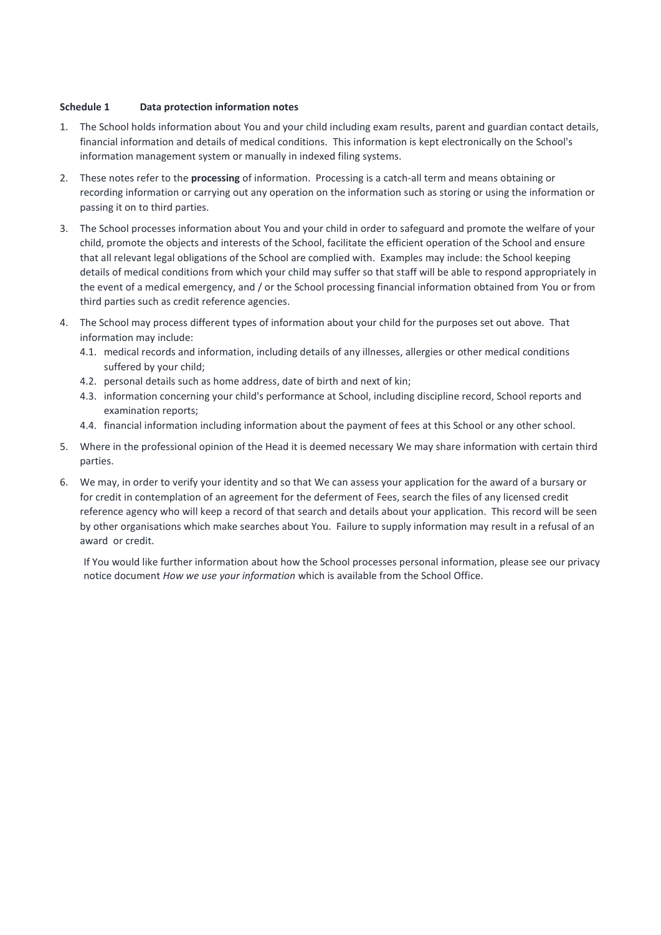### **Schedule 1 Data protection information notes**

- 1. The School holds information about You and your child including exam results, parent and guardian contact details, financial information and details of medical conditions. This information is kept electronically on the School's information management system or manually in indexed filing systems.
- 2. These notes refer to the **processing** of information. Processing is a catch-all term and means obtaining or recording information or carrying out any operation on the information such as storing or using the information or passing it on to third parties.
- 3. The School processes information about You and your child in order to safeguard and promote the welfare of your child, promote the objects and interests of the School, facilitate the efficient operation of the School and ensure that all relevant legal obligations of the School are complied with. Examples may include: the School keeping details of medical conditions from which your child may suffer so that staff will be able to respond appropriately in the event of a medical emergency, and / or the School processing financial information obtained from You or from third parties such as credit reference agencies.
- 4. The School may process different types of information about your child for the purposes set out above. That information may include:
	- 4.1. medical records and information, including details of any illnesses, allergies or other medical conditions suffered by your child;
	- 4.2. personal details such as home address, date of birth and next of kin;
	- 4.3. information concerning your child's performance at School, including discipline record, School reports and examination reports;
	- 4.4. financial information including information about the payment of fees at this School or any other school.
- 5. Where in the professional opinion of the Head it is deemed necessary We may share information with certain third parties.
- 6. We may, in order to verify your identity and so that We can assess your application for the award of a bursary or for credit in contemplation of an agreement for the deferment of Fees, search the files of any licensed credit reference agency who will keep a record of that search and details about your application. This record will be seen by other organisations which make searches about You. Failure to supply information may result in a refusal of an award or credit.

If You would like further information about how the School processes personal information, please see our privacy notice document *How we use your information* which is available from the School Office.